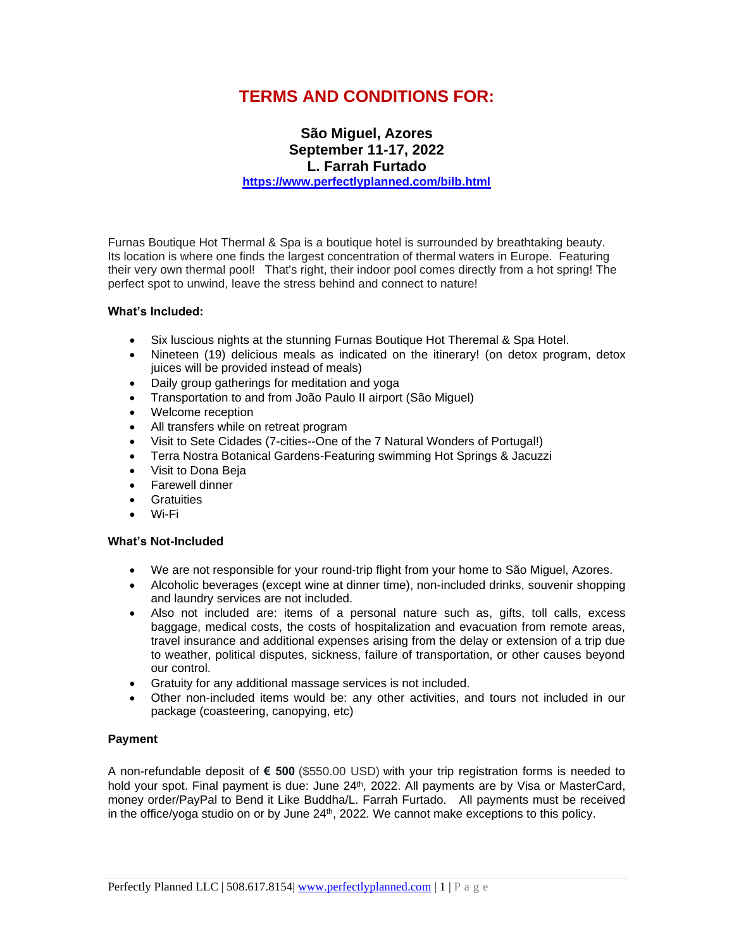# **TERMS AND CONDITIONS FOR:**

## **São Miguel, Azores September 11-17, 2022 L. Farrah Furtado <https://www.perfectlyplanned.com/bilb.html>**

Furnas Boutique Hot Thermal & Spa is a boutique hotel is surrounded by breathtaking beauty. Its location is where one finds the largest concentration of thermal waters in Europe. Featuring their very own thermal pool! That's right, their indoor pool comes directly from a hot spring! The perfect spot to unwind, leave the stress behind and connect to nature!

### **What's Included:**

- Six luscious nights at the stunning Furnas Boutique Hot Theremal & Spa Hotel.
- Nineteen (19) delicious meals as indicated on the itinerary! (on detox program, detox juices will be provided instead of meals)
- Daily group gatherings for meditation and yoga
- Transportation to and from João Paulo II airport (São Miguel)
- Welcome reception
- All transfers while on retreat program
- Visit to Sete Cidades (7-cities--One of the 7 Natural Wonders of Portugal!)
- Terra Nostra Botanical Gardens-Featuring swimming Hot Springs & Jacuzzi
- Visit to Dona Beja
- Farewell dinner
- Gratuities
- Wi-Fi

#### **What's Not-Included**

- We are not responsible for your round-trip flight from your home to São Miguel, Azores.
- Alcoholic beverages (except wine at dinner time), non-included drinks, souvenir shopping and laundry services are not included.
- Also not included are: items of a personal nature such as, gifts, toll calls, excess baggage, medical costs, the costs of hospitalization and evacuation from remote areas, travel insurance and additional expenses arising from the delay or extension of a trip due to weather, political disputes, sickness, failure of transportation, or other causes beyond our control.
- Gratuity for any additional massage services is not included.
- Other non-included items would be: any other activities, and tours not included in our package (coasteering, canopying, etc)

## **Payment**

A non-refundable deposit of **€ 500** (\$550.00 USD) with your trip registration forms is needed to hold your spot. Final payment is due: June 24<sup>th</sup>, 2022. All payments are by Visa or MasterCard, money order/PayPal to Bend it Like Buddha/L. Farrah Furtado. All payments must be received in the office/yoga studio on or by June 24<sup>th</sup>, 2022. We cannot make exceptions to this policy.